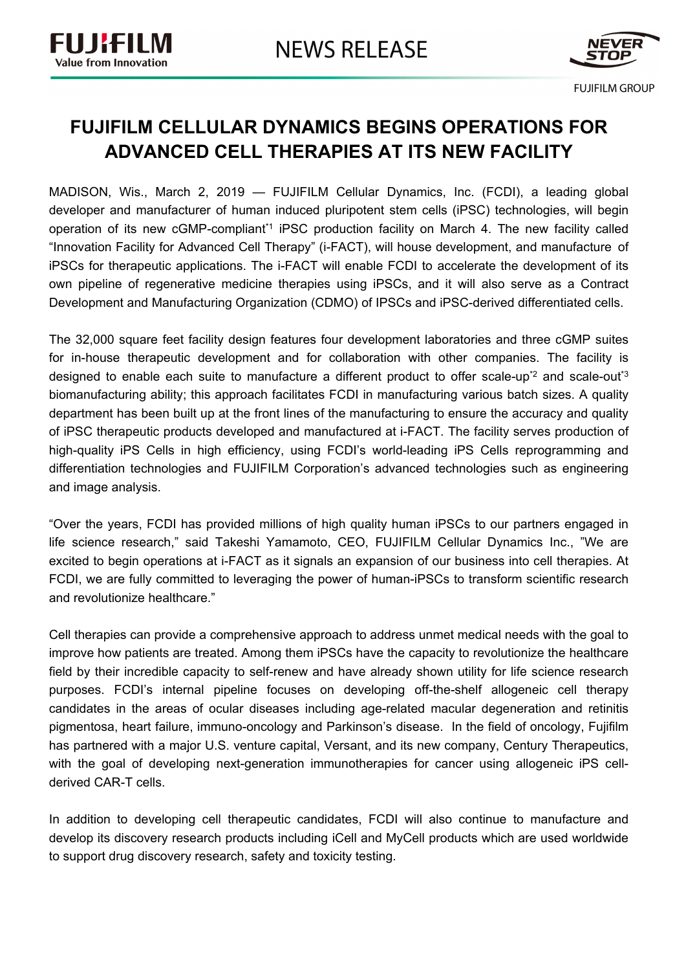

## **FUJIFILM CELLULAR DYNAMICS BEGINS OPERATIONS FOR ADVANCED CELL THERAPIES AT ITS NEW FACILITY**

MADISON, Wis., March 2, 2019 — FUJIFILM Cellular Dynamics, Inc. (FCDI), a leading global developer and manufacturer of human induced pluripotent stem cells (iPSC) technologies, will begin operation of its new cGMP-compliant\*1 iPSC production facility on March 4. The new facility called "Innovation Facility for Advanced Cell Therapy" (i-FACT), will house development, and manufacture of iPSCs for therapeutic applications. The i-FACT will enable FCDI to accelerate the development of its own pipeline of regenerative medicine therapies using iPSCs, and it will also serve as a Contract Development and Manufacturing Organization (CDMO) of IPSCs and iPSC-derived differentiated cells.

The 32,000 square feet facility design features four development laboratories and three cGMP suites for in-house therapeutic development and for collaboration with other companies. The facility is designed to enable each suite to manufacture a different product to offer scale-up<sup>\*2</sup> and scale-out<sup>\*3</sup> biomanufacturing ability; this approach facilitates FCDI in manufacturing various batch sizes. A quality department has been built up at the front lines of the manufacturing to ensure the accuracy and quality of iPSC therapeutic products developed and manufactured at i-FACT. The facility serves production of high-quality iPS Cells in high efficiency, using FCDI's world-leading iPS Cells reprogramming and differentiation technologies and FUJIFILM Corporation's advanced technologies such as engineering and image analysis.

"Over the years, FCDI has provided millions of high quality human iPSCs to our partners engaged in life science research," said Takeshi Yamamoto, CEO, FUJIFILM Cellular Dynamics Inc., "We are excited to begin operations at i-FACT as it signals an expansion of our business into cell therapies. At FCDI, we are fully committed to leveraging the power of human-iPSCs to transform scientific research and revolutionize healthcare."

Cell therapies can provide a comprehensive approach to address unmet medical needs with the goal to improve how patients are treated. Among them iPSCs have the capacity to revolutionize the healthcare field by their incredible capacity to self-renew and have already shown utility for life science research purposes. FCDI's internal pipeline focuses on developing off-the-shelf allogeneic cell therapy candidates in the areas of ocular diseases including age-related macular degeneration and retinitis pigmentosa, heart failure, immuno-oncology and Parkinson's disease. In the field of oncology, Fujifilm has partnered with a major U.S. venture capital, Versant, and its new company, Century Therapeutics, with the goal of developing next-generation immunotherapies for cancer using allogeneic iPS cellderived CAR-T cells.

In addition to developing cell therapeutic candidates, FCDI will also continue to manufacture and develop its discovery research products including iCell and MyCell products which are used worldwide to support drug discovery research, safety and toxicity testing.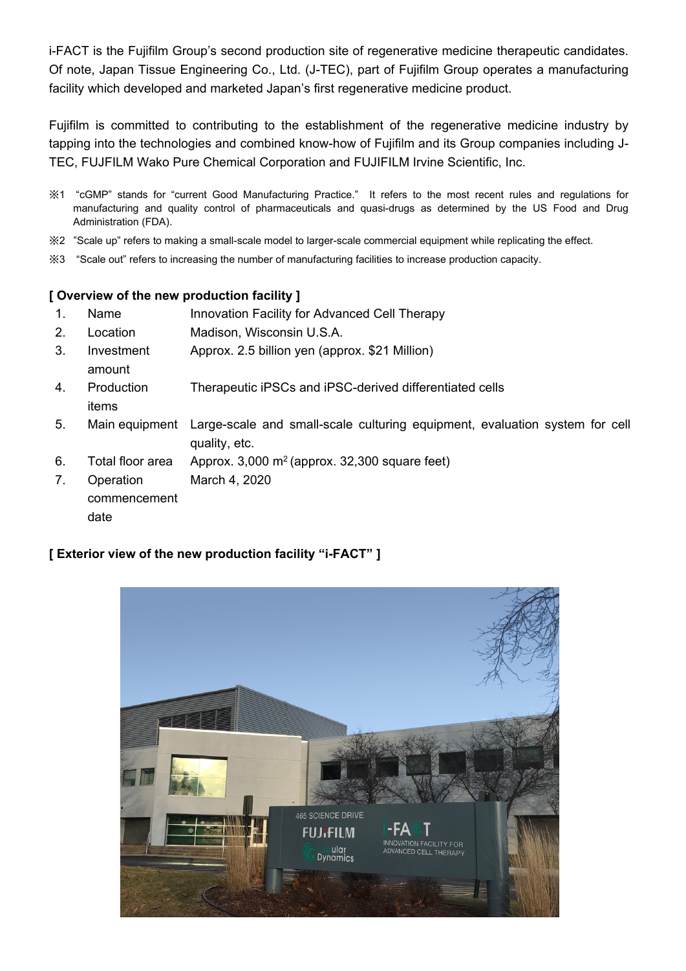i-FACT is the Fujifilm Group's second production site of regenerative medicine therapeutic candidates. Of note, Japan Tissue Engineering Co., Ltd. (J-TEC), part of Fujifilm Group operates a manufacturing facility which developed and marketed Japan's first regenerative medicine product.

Fujifilm is committed to contributing to the establishment of the regenerative medicine industry by tapping into the technologies and combined know-how of Fujifilm and its Group companies including J-TEC, FUJFILM Wako Pure Chemical Corporation and FUJIFILM Irvine Scientific, Inc.

- ※1 "cGMP" stands for "current Good Manufacturing Practice." It refers to the most recent rules and regulations for manufacturing and quality control of pharmaceuticals and quasi-drugs as determined by the US Food and Drug Administration (FDA).
- ※2 "Scale up" refers to making a small-scale model to larger-scale commercial equipment while replicating the effect.
- ※3 "Scale out" refers to increasing the number of manufacturing facilities to increase production capacity.

## **[ Overview of the new production facility ]**

- 1. Name Innovation Facility for Advanced Cell Therapy
- 2. Location Madison, Wisconsin U.S.A.
- 3. Investment amount Approx. 2.5 billion yen (approx. \$21 Million)
- 4. Production Therapeutic iPSCs and iPSC-derived differentiated cells
- 5. Main equipment Large-scale and small-scale culturing equipment, evaluation system for cell quality, etc.
- 6. Total floor area Approx.  $3,000$  m<sup>2</sup> (approx.  $32,300$  square feet)
- 7. Operation March 4, 2020

commencement date

items

## **[ Exterior view of the new production facility "i-FACT" ]**